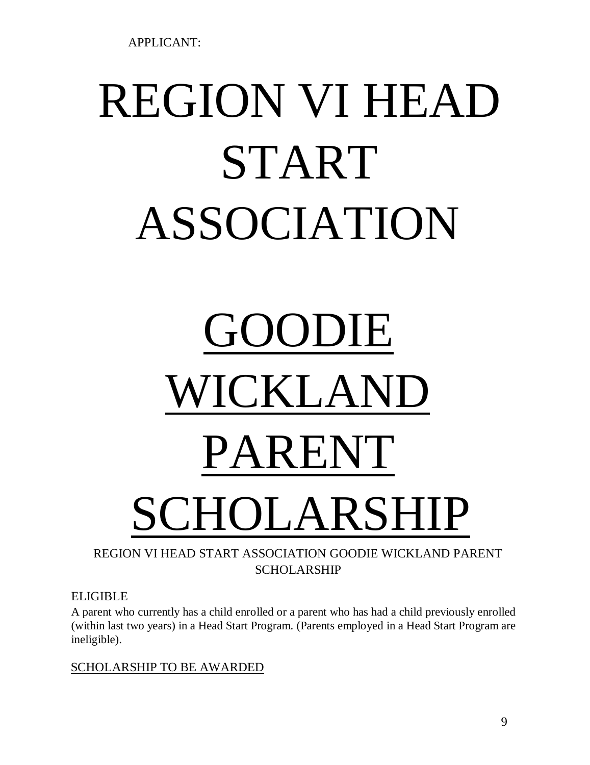APPLICANT:

# REGION VI HEAD START ASSOCIATION

# GOODIE WICKLAND PARENT SCHOLARSHIP

## REGION VI HEAD START ASSOCIATION GOODIE WICKLAND PARENT SCHOLARSHIP

ELIGIBLE

A parent who currently has a child enrolled or a parent who has had a child previously enrolled (within last two years) in a Head Start Program. (Parents employed in a Head Start Program are ineligible).

SCHOLARSHIP TO BE AWARDED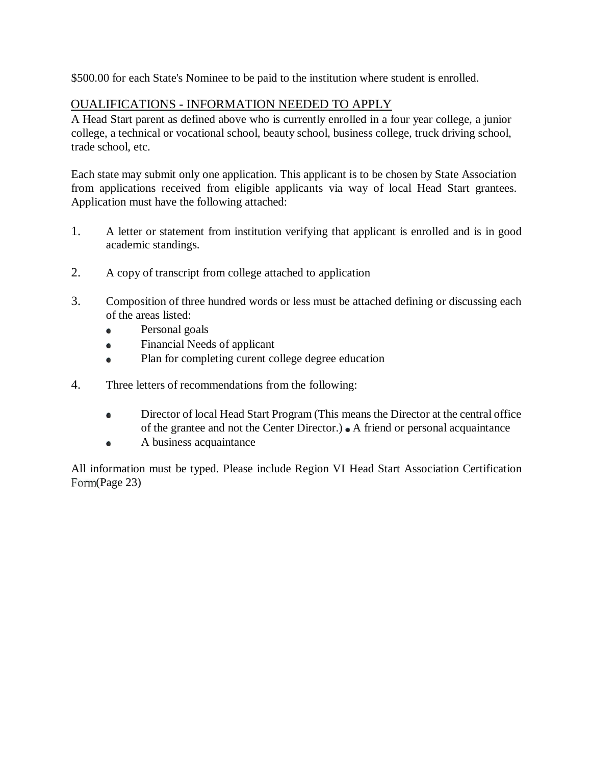\$500.00 for each State's Nominee to be paid to the institution where student is enrolled.

#### OUALIFICATIONS - INFORMATION NEEDED TO APPLY

A Head Start parent as defined above who is currently enrolled in a four year college, a junior college, a technical or vocational school, beauty school, business college, truck driving school, trade school, etc.

Each state may submit only one application. This applicant is to be chosen by State Association from applications received from eligible applicants via way of local Head Start grantees. Application must have the following attached:

- 1. A letter or statement from institution verifying that applicant is enrolled and is in good academic standings.
- 2. A copy of transcript from college attached to application
- 3. Composition of three hundred words or less must be attached defining or discussing each of the areas listed:
	- Personal goals  $\bullet$
	- Financial Needs of applicant  $\bullet$
	- Plan for completing curent college degree education  $\bullet$
- 4. Three letters of recommendations from the following:
	- Director of local Head Start Program (This means the Director at the central office  $\bullet$ of the grantee and not the Center Director.)  $\bullet$  A friend or personal acquaintance
	- A business acquaintance  $\bullet$

All information must be typed. Please include Region VI Head Start Association Certification Form(Page 23)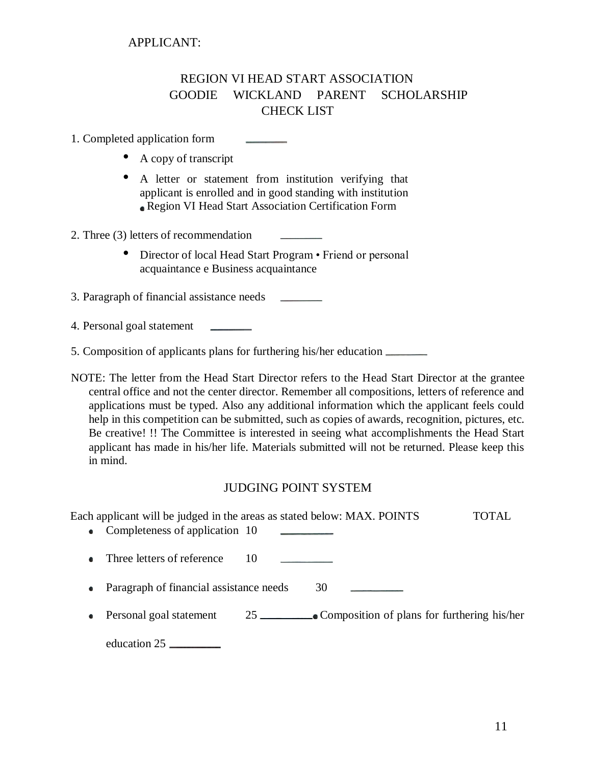## REGION VI HEAD START ASSOCIATION GOODIE WICKLAND PARENT SCHOLARSHIP CHECK LIST

1. Completed application form

- A copy of transcript
- A letter or statement from institution verifying that applicant is enrolled and in good standing with institution Region VI Head Start Association Certification Form
- 2. Three (3) letters of recommendation
	- Director of local Head Start Program Friend or personal acquaintance e Business acquaintance

3. Paragraph of financial assistance needs

4. Personal goal statement

5. Composition of applicants plans for furthering his/her education

NOTE: The letter from the Head Start Director refers to the Head Start Director at the grantee central office and not the center director. Remember all compositions, letters of reference and applications must be typed. Also any additional information which the applicant feels could help in this competition can be submitted, such as copies of awards, recognition, pictures, etc. Be creative! !! The Committee is interested in seeing what accomplishments the Head Start applicant has made in his/her life. Materials submitted will not be returned. Please keep this in mind.

#### JUDGING POINT SYSTEM

Each applicant will be judged in the areas as stated below: MAX. POINTS TOTAL • Completeness of application 10 • Three letters of reference 10 • Paragraph of financial assistance needs 30 • Personal goal statement  $25$  Composition of plans for furthering his/her education 25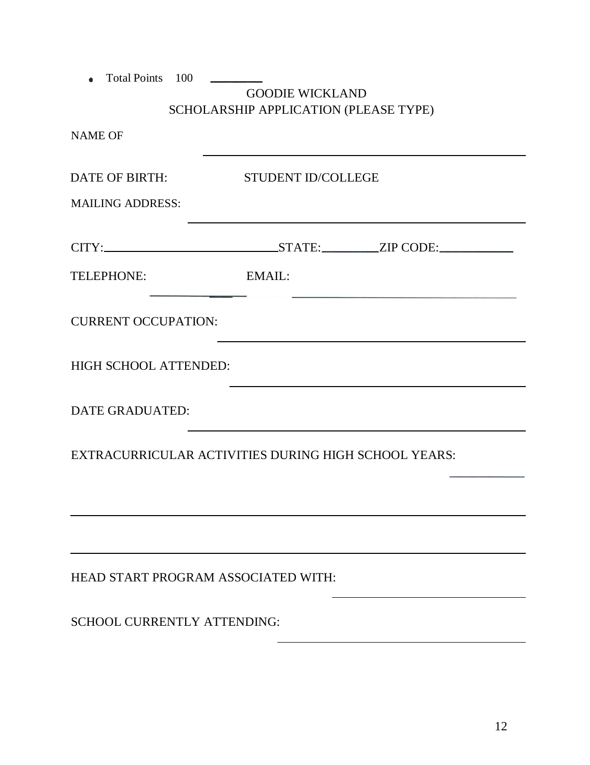| <b>Total Points</b><br>100          | <b>GOODIE WICKLAND</b><br>SCHOLARSHIP APPLICATION (PLEASE TYPE) |  |
|-------------------------------------|-----------------------------------------------------------------|--|
| <b>NAME OF</b>                      |                                                                 |  |
| <b>DATE OF BIRTH:</b>               | STUDENT ID/COLLEGE                                              |  |
| <b>MAILING ADDRESS:</b>             |                                                                 |  |
|                                     |                                                                 |  |
| TELEPHONE:                          | EMAIL:                                                          |  |
| <b>CURRENT OCCUPATION:</b>          |                                                                 |  |
| HIGH SCHOOL ATTENDED:               |                                                                 |  |
| <b>DATE GRADUATED:</b>              |                                                                 |  |
|                                     | EXTRACURRICULAR ACTIVITIES DURING HIGH SCHOOL YEARS:            |  |
|                                     |                                                                 |  |
|                                     |                                                                 |  |
| HEAD START PROGRAM ASSOCIATED WITH: |                                                                 |  |
| <b>SCHOOL CURRENTLY ATTENDING:</b>  |                                                                 |  |